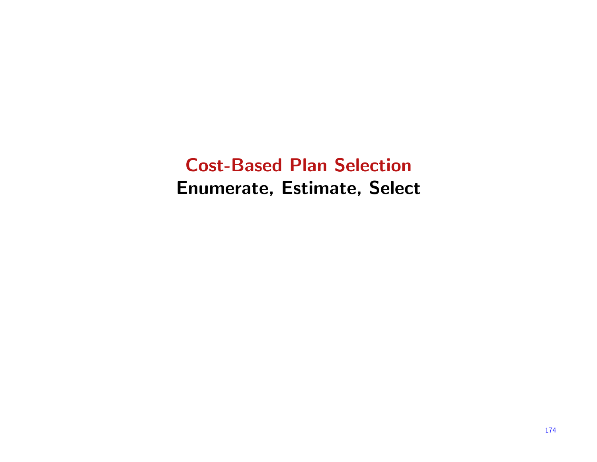Cost-Based Plan Selection Enumerate, Estimate, Select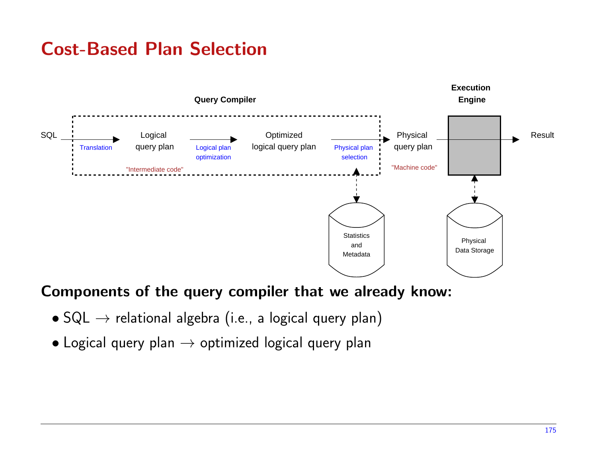

#### Components of the query compiler that we already know:

- $\bullet$  SQL  $\to$  relational algebra (i.e., a logical query plan)
- $\bullet$  Logical query plan  $\rightarrow$  optimized logical query plan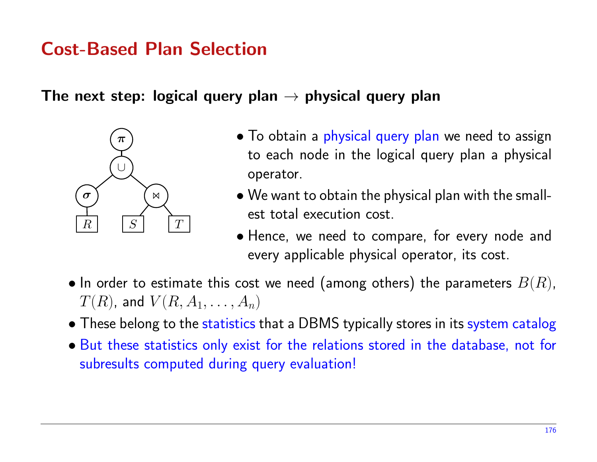The next step: logical query plan  $\rightarrow$  physical query plan



- $\bullet$  To obtain a physical query plan we need to assign to each node in the logical query <sup>p</sup>lan <sup>a</sup> <sup>p</sup>hysical operator.
- We want to obtain the <sup>p</sup>hysical <sup>p</sup>lan with the smallest total execution cost.
- Hence, we need to compare, for every node and every applicable <sup>p</sup>hysical operator, its cost.
- $\bullet$  In order to estimate this cost we need (among others) the parameters  $B(R)$ ,  $T(R)$ , and  $V(R,A_1,\ldots,A_n)$
- These belong to the statistics that <sup>a</sup> DBMS typically stores in its system catalog
- But these statistics only exist for the relations stored in the database, not for subresults computed during query evaluation!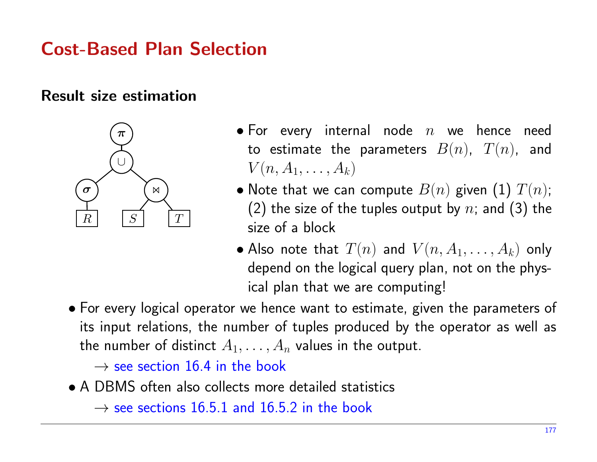#### Result size estimation



- $\bullet$  For every internal node  $n$  we hence need to estimate the parameters  $B(n)$ ,  $T(n)$ , and  $V(n, A_1, \ldots, A_k)$
- $\bullet$  Note that we can compute  $B(n)$  given  $(1)$   $T(n)$ ; (2) the size of the tuples output by  $n;$  and (3) the size of <sup>a</sup> block
- $\bullet$  Also note that  $T(n)$  and  $V(n, A_1, \ldots, A_k)$  only depend on the logical query <sup>p</sup>lan, not on the <sup>p</sup>hysical <sup>p</sup>lan that we are computing!
- For every logical operator we hence want to estimate, <sup>g</sup>iven the parameters of its input relations, the number of tuples produced by the operator as well as the number of distinct  $A_1,\ldots,A_n$  values in the output.

 $\rightarrow$  see section 16.4 in the book<br>DPMS often also sallects mare

• <sup>A</sup> DBMS often also collects more detailed statistics

 $\rightarrow$  see sections 16.5.1 and 16.5.2 in the book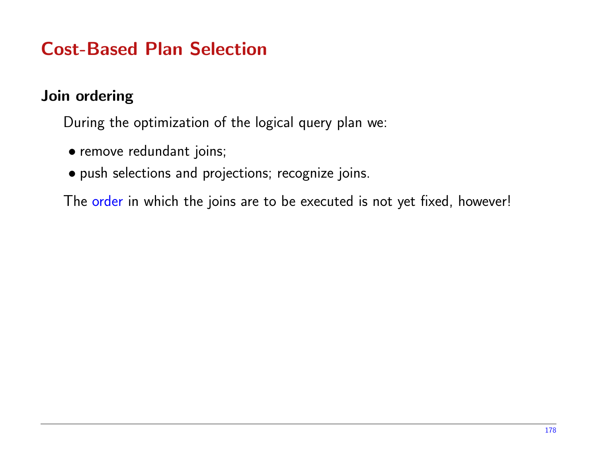#### Join ordering

During the optimization of the logical query <sup>p</sup>lan we:

- remove redundant joins;
- pus<sup>h</sup> selections and projections; recognize joins.

The order in which the joins are to be executed is not ye<sup>t</sup> fixed, however!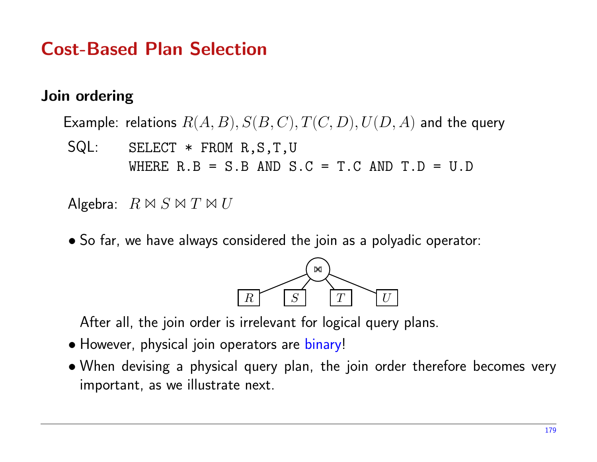#### Join ordering

Example: relations  $R(A,B), S(B,C), T(C,D), U(D,A)$  and the query

SQL: SELECT \* FROM R,S,T,U WHERE  $R.B = S.B AND S.C = T.C AND T.D = U.D$ 

Algebra:  $R \bowtie S \bowtie T \bowtie U$ 

• So far, we have always considered the join as <sup>a</sup> polyadic operator:



After all, the join order is irrelevant for logical query <sup>p</sup>lans.

- However, <sup>p</sup>hysical join operators are binary!
- When devising <sup>a</sup> <sup>p</sup>hysical query <sup>p</sup>lan, the join order therefore becomes very important, as we illustrate next.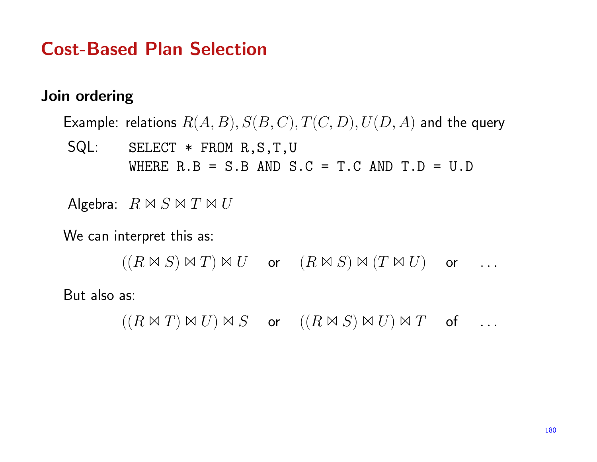#### Join ordering

Example: relations  $R(A,B), S(B,C), T(C,D), U(D,A)$  and the query

SQL: SELECT \* FROM R,S,T,U WHERE  $R.B = S.B AND S.C = T.C AND T.D = U.D$ 

Algebra:  $R \bowtie S \bowtie T \bowtie U$ 

We can interpret this as:

 $((R \bowtie S) \bowtie T) \bowtie U$  or  $(R \bowtie S) \bowtie (T \bowtie U)$  or ...

But also as:

 $((R \bowtie T) \bowtie U) \bowtie S$  or  $((R \bowtie S) \bowtie U) \bowtie T$  of ...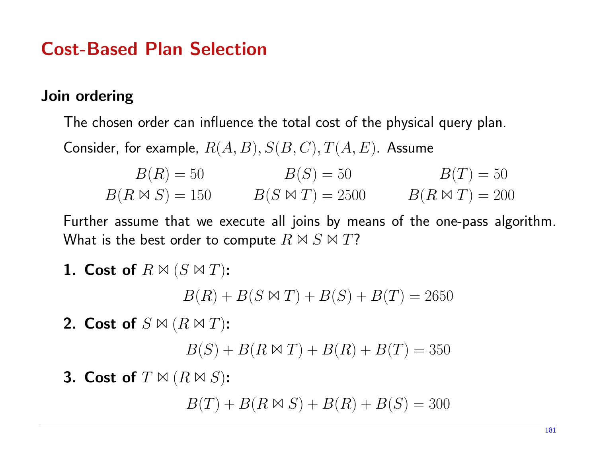#### Join ordering

The chosen order can influence the total cost of the <sup>p</sup>hysical query <sup>p</sup>lan. Consider, for example,  $R(A,B), S(B,C), T(A,E).$  Assume

$$
B(R) = 50
$$
  $B(S) = 50$   $B(T) = 50$   
\n $B(R \bowtie S) = 150$   $B(S \bowtie T) = 2500$   $B(R \bowtie T) = 200$ 

Further assume that we execute all joins by means of the one-pass algorithm. What is the best order to compute  $R \bowtie S \bowtie T$ ?

1. Cost of  $R \bowtie (S \bowtie T)$ :

 $B(R) + B(S \bowtie T) + B(S) + B(T) = 2650$ 

2. Cost of  $S\bowtie (R\bowtie T)$ :

 $B(S) + B(R \bowtie T) + B(R) + B(T) = 350$ 

3. Cost of  $T \bowtie (R \bowtie S)$ :

 $B(T) + B(R \boxtimes S) + B(R) + B(S) = 300$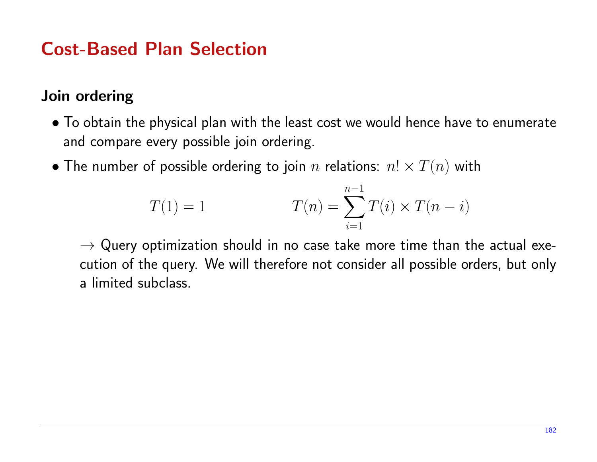#### Join ordering

- $\bullet$  To obtain the physical plan with the least cost we would hence have to enumerate and compare every possible join ordering.
- $\bullet$  The number of possible ordering to join  $n$  relations:  $n! \times T(n)$  with

$$
T(1) = 1 \t\t T(n) = \sum_{i=1}^{n-1} T(i) \times T(n-i)
$$

 $\rightarrow$  Query optimization should in no case take more time than the actual exe-<br>cution of the querv. We will therefore not consider all possible orders. but onlv cution of the query. We will therefore not consider all possible orders, but only a limited subclass.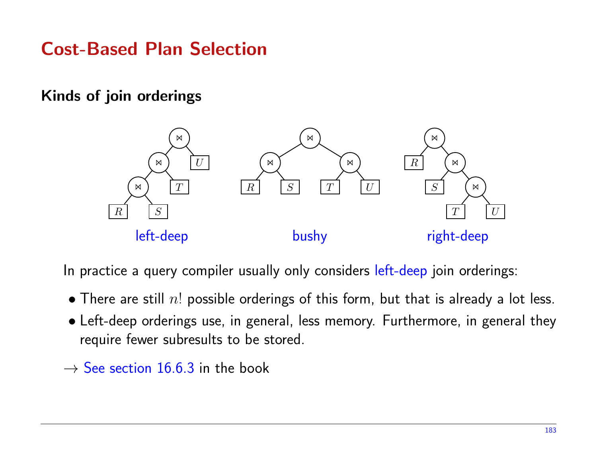#### Kinds of join orderings



In practice a query compiler usually only considers left-deep join orderings:

- $\bullet$  There are still  $n!$  possible orderings of this form, but that is already a lot less.
- Left-deep orderings use, in general, less memory. Furthermore, in genera<sup>l</sup> they require fewer subresults to be stored.
- $\rightarrow$  See section 16.6.3 in the book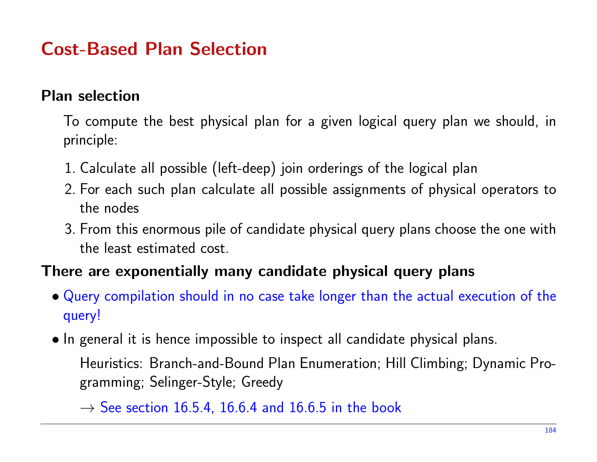#### Plan selection

To compute the best <sup>p</sup>hysical <sup>p</sup>lan for <sup>a</sup> <sup>g</sup>iven logical query <sup>p</sup>lan we should, in principle:

- 1. Calculate all possible (left-deep) join orderings of the logical <sup>p</sup>lan
- 2. For each such <sup>p</sup>lan calculate all possible assignments of <sup>p</sup>hysical operators to the nodes
- 3. From this enormous <sup>p</sup>ile of candidate <sup>p</sup>hysical query <sup>p</sup>lans choose the one with the least estimated cost.

#### There are exponentially many candidate physical query plans

- Query compilation should in no case take longer than the actual execution of the query!
- In genera<sup>l</sup> it is hence impossible to inspect all candidate <sup>p</sup>hysical <sup>p</sup>lans.

Heuristics: Branch-and-Bound Plan Enumeration; Hill Climbing; Dynamic Programming; Selinger-Style; Greedy

 $\rightarrow$  See section 16.5.4, 16.6.4 and 16.6.5 in the book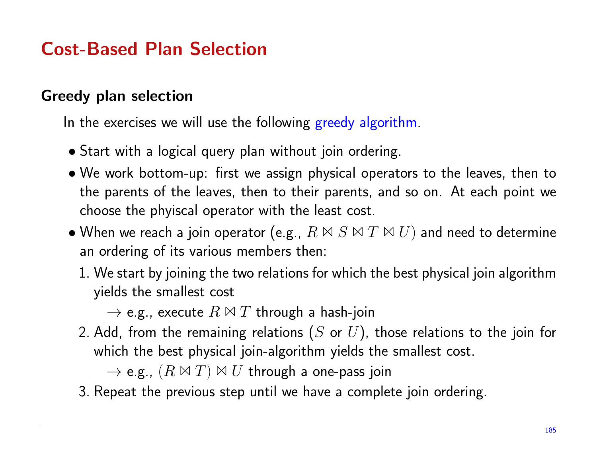#### Greedy plan selection

In the exercises we will use the following greedy algorithm.

- Start with <sup>a</sup> logical query <sup>p</sup>lan without join ordering.
- We work bottom-up: first we assign <sup>p</sup>hysical operators to the leaves, then to the parents of the leaves, then to their parents, and so on. At each point we choose the <sup>p</sup>hyiscal operator with the least cost.
- $\bullet$  When we reach a join operator (e.g.,  $R \Join S \Join T \Join U)$  and need to determine an ordering of its various members then:
	- 1. We start by joining the two relations for which the best <sup>p</sup>hysical join algorithmyields the smallest cost

 $\rightarrow$  e.g., execute  $R$   $\bowtie$   $T$  through a hash-join<br>dd from the remaining relations (S or  $II$ )

2. Add, from the remaining relations  $(S$  or  $U)$ , those relations to the join for which the best physical join-algorithm yields the smallest cost.  $\sim$ 

 $\rightarrow$  e.g.,  $(R \Join T) \Join U$  through a one-pass join

3. Repeat the previous step until we have <sup>a</sup> complete join ordering.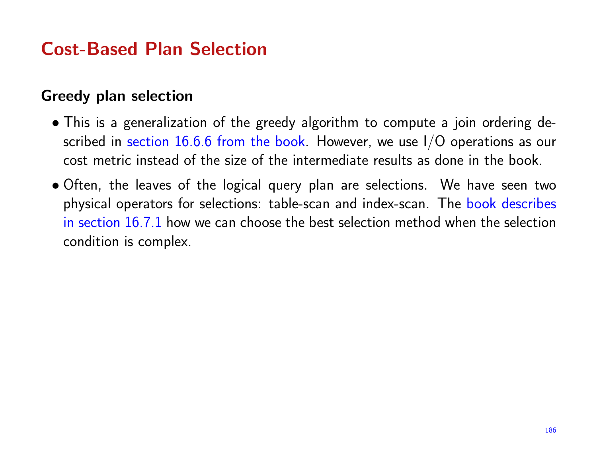#### Greedy plan selection

- This is <sup>a</sup> generalization of the greedy algorithm to compute <sup>a</sup> join ordering described in section  $16.6.6$  from the book. However, we use I/O operations as our cost metric instead of the size of the intermediate results as done in the book.
- Often, the leaves of the logical query <sup>p</sup>lan are selections. We have seen two physical operators for selections: table-scan and index-scan. The book describes in section  $16.7.1$  how we can choose the best selection method when the selection condition is complex.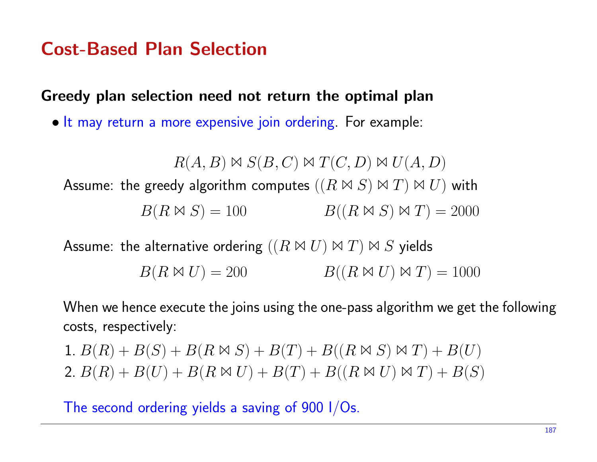Greedy plan selection need not return the optimal plan

• It may return <sup>a</sup> more expensive join ordering. For example:

 $R(A, B) \bowtie S(B, C) \bowtie T(C, D) \bowtie U(A, D)$ Assume: the greedy algorithm computes  $((R \Join S) \Join T) \Join U)$  with  $B(R \boxtimes S) = 100$  $B((R \bowtie S) \bowtie T) = 2000$ 

Assume: the alternative ordering  $((R \bowtie U) \bowtie T) \bowtie S$  yields

 $B(R \boxtimes U) = 200$  $B((R \boxtimes U) \boxtimes T) = 1000$ 

When we hence execute the joins using the one-pass algorithm we ge<sup>t</sup> the following costs, respectively:

1.  $B(R) + B(S) + B(R \bowtie S) + B(T) + B((R \bowtie S) \bowtie T) + B(U)$ 2.  $B(R) + B(U) + B(R \bowtie U) + B(T) + B((R \bowtie U) \bowtie T) + B(S)$ 

The second ordering yields a saving of  $900$  I/Os.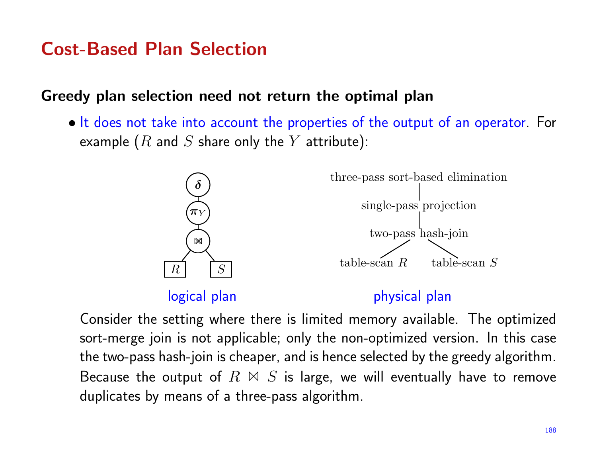#### Greedy plan selection need not return the optimal plan

• It does not take into account the properties of the output of an operator. For example  $(R$  and  $S$  share only the  $Y$  attribute):



Consider the setting where there is limited memory available. The optimized sort-merge join is not applicable; only the non-optimized version. In this case the two-pass hash-join is cheaper, and is hence selected by the greedy algorithm. Because the output of  $R$   $\bowtie$   $S$  is large, we will eventually have to remove duplicates by means of <sup>a</sup> three-pass algorithm.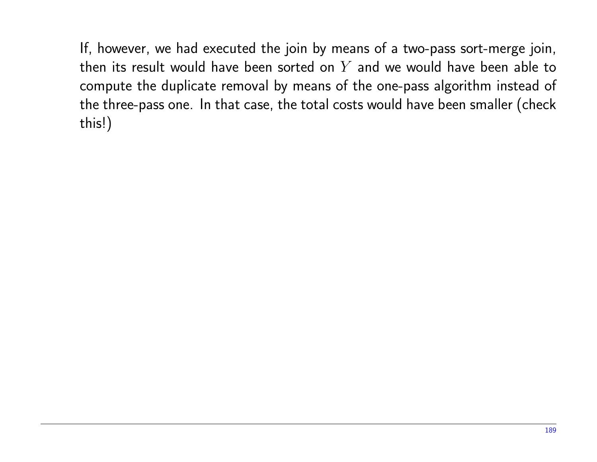If, however, we had executed the join by means of <sup>a</sup> two-pass sort-merge join, then its result would have been sorted on  $Y$  and we would have been able to compute the duplicate removal by means of the one-pass algorithm instead of the three-pass one. In that case, the total costs would have been smaller (check this!)